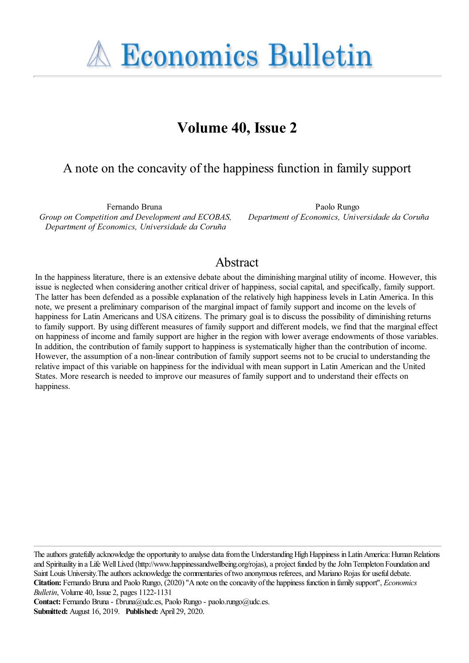**A Economics Bulletin** 

# **Volume 40, Issue 2**

# A note on the concavity of the happiness function in family support

Fernando Bruna *Group on Competition and Development and ECOBAS, Department of Economics, Universidade da Coruña*

Paolo Rungo *Department of Economics, Universidade da Coruña*

## Abstract

In the happiness literature, there is an extensive debate about the diminishing marginal utility of income. However, this issue is neglected when considering another critical driver of happiness, social capital, and specifically, family support. The latter has been defended as a possible explanation of the relatively high happiness levels in Latin America. In this note, we present a preliminary comparison of the marginal impact of family support and income on the levels of happiness for Latin Americans and USA citizens. The primary goal is to discuss the possibility of diminishing returns to family support. By using different measures of family support and different models, we find that the marginal effect on happiness of income and family support are higher in the region with lower average endowments of those variables. In addition, the contribution of family support to happiness is systematically higher than the contribution of income. However, the assumption of a non-linear contribution of family support seems not to be crucial to understanding the relative impact of this variable on happiness for the individual with mean support in Latin American and the United States. More research is needed to improve our measures of family support and to understand their effects on happiness.

The authors gratefully acknowledge the opportunity to analyse data from the Understanding High Happiness in Latin America: Human Relations and Spirituality in a Life Well Lived (http://www.happinessandwellbeing.org/rojas), a project funded by the John Templeton Foundation and Saint Louis University.The authors acknowledge the commentaries of two anonymous referees, and Mariano Rojas for useful debate. **Citation:** Fernando Bruna and Paolo Rungo, (2020) ''A note on the concavity of the happiness function in family support'', *Economics Bulletin*, Volume 40, Issue 2, pages 1122-1131

Contact: Fernando Bruna - f.bruna@udc.es, Paolo Rungo - paolo.rungo@udc.es. **Submitted:** August 16, 2019. **Published:** April 29, 2020.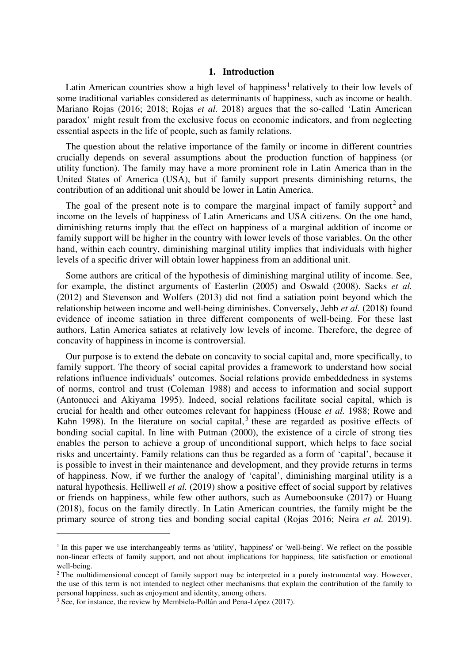#### **1. Introduction**

Latin American countries show a high level of happiness<sup>[1](#page-1-0)</sup> relatively to their low levels of some traditional variables considered as determinants of happiness, such as income or health. Mariano Rojas (2016; 2018; Rojas *et al.* 2018) argues that the so-called 'Latin American paradox' might result from the exclusive focus on economic indicators, and from neglecting essential aspects in the life of people, such as family relations.

The question about the relative importance of the family or income in different countries crucially depends on several assumptions about the production function of happiness (or utility function). The family may have a more prominent role in Latin America than in the United States of America (USA), but if family support presents diminishing returns, the contribution of an additional unit should be lower in Latin America.

The goal of the present note is to compare the marginal impact of family support<sup>[2](#page-1-1)</sup> and income on the levels of happiness of Latin Americans and USA citizens. On the one hand, diminishing returns imply that the effect on happiness of a marginal addition of income or family support will be higher in the country with lower levels of those variables. On the other hand, within each country, diminishing marginal utility implies that individuals with higher levels of a specific driver will obtain lower happiness from an additional unit.

Some authors are critical of the hypothesis of diminishing marginal utility of income. See, for example, the distinct arguments of Easterlin (2005) and Oswald (2008). Sacks *et al.* (2012) and Stevenson and Wolfers (2013) did not find a satiation point beyond which the relationship between income and well-being diminishes. Conversely, Jebb *et al.* (2018) found evidence of income satiation in three different components of well-being. For these last authors, Latin America satiates at relatively low levels of income. Therefore, the degree of concavity of happiness in income is controversial.

Our purpose is to extend the debate on concavity to social capital and, more specifically, to family support. The theory of social capital provides a framework to understand how social relations influence individuals' outcomes. Social relations provide embeddedness in systems of norms, control and trust (Coleman 1988) and access to information and social support (Antonucci and Akiyama 1995). Indeed, social relations facilitate social capital, which is crucial for health and other outcomes relevant for happiness (House *et al.* 1988; Rowe and Kahn 1998). In the literature on social capital, $3$  these are regarded as positive effects of bonding social capital. In line with Putman (2000), the existence of a circle of strong ties enables the person to achieve a group of unconditional support, which helps to face social risks and uncertainty. Family relations can thus be regarded as a form of 'capital', because it is possible to invest in their maintenance and development, and they provide returns in terms of happiness. Now, if we further the analogy of 'capital', diminishing marginal utility is a natural hypothesis. Helliwell *et al.* (2019) show a positive effect of social support by relatives or friends on happiness, while few other authors, such as Aumeboonsuke (2017) or Huang (2018), focus on the family directly. In Latin American countries, the family might be the primary source of strong ties and bonding social capital (Rojas 2016; Neira *et al.* 2019).

<span id="page-1-0"></span><sup>&</sup>lt;sup>1</sup> In this paper we use interchangeably terms as 'utility', 'happiness' or 'well-being'. We reflect on the possible non-linear effects of family support, and not about implications for happiness, life satisfaction or emotional well-being.

<span id="page-1-1"></span><sup>&</sup>lt;sup>2</sup> The multidimensional concept of family support may be interpreted in a purely instrumental way. However, the use of this term is not intended to neglect other mechanisms that explain the contribution of the family to personal happiness, such as enjoyment and identity, among others.

<span id="page-1-2"></span> $3$  See, for instance, the review by Membiela-Pollán and Pena-López (2017).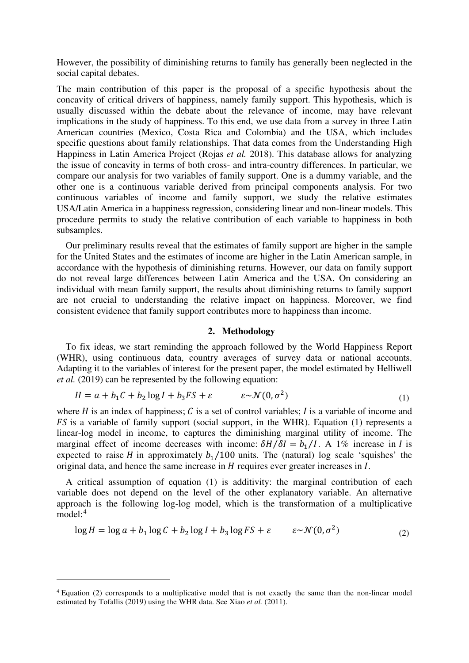However, the possibility of diminishing returns to family has generally been neglected in the social capital debates.

The main contribution of this paper is the proposal of a specific hypothesis about the concavity of critical drivers of happiness, namely family support. This hypothesis, which is usually discussed within the debate about the relevance of income, may have relevant implications in the study of happiness. To this end, we use data from a survey in three Latin American countries (Mexico, Costa Rica and Colombia) and the USA, which includes specific questions about family relationships. That data comes from the Understanding High Happiness in Latin America Project (Rojas *et al.* 2018). This database allows for analyzing the issue of concavity in terms of both cross- and intra-country differences. In particular, we compare our analysis for two variables of family support. One is a dummy variable, and the other one is a continuous variable derived from principal components analysis. For two continuous variables of income and family support, we study the relative estimates USA/Latin America in a happiness regression, considering linear and non-linear models. This procedure permits to study the relative contribution of each variable to happiness in both subsamples.

Our preliminary results reveal that the estimates of family support are higher in the sample for the United States and the estimates of income are higher in the Latin American sample, in accordance with the hypothesis of diminishing returns. However, our data on family support do not reveal large differences between Latin America and the USA. On considering an individual with mean family support, the results about diminishing returns to family support are not crucial to understanding the relative impact on happiness. Moreover, we find consistent evidence that family support contributes more to happiness than income.

### <span id="page-2-1"></span><span id="page-2-0"></span>**2. Methodology**

To fix ideas, we start reminding the approach followed by the World Happiness Report (WHR), using continuous data, country averages of survey data or national accounts. Adapting it to the variables of interest for the present paper, the model estimated by Helliwell *et al.* (2019) can be represented by the following equation:

$$
H = a + b_1 C + b_2 \log I + b_3 FS + \varepsilon \qquad \varepsilon \sim \mathcal{N}(0, \sigma^2)
$$
 (1)

where  $H$  is an index of happiness;  $C$  is a set of control variables;  $I$  is a variable of income and  $FS$  is a variable of family support (social support, in the WHR). Equation [\(1\)](#page-2-0) represents a linear-log model in income, to captures the diminishing marginal utility of income. The marginal effect of income decreases with income:  $\delta H/\delta I = b_1/I$ . A 1% increase in *I* is expected to raise *H* in approximately  $b_1/100$  units. The (natural) log scale 'squishes' the original data, and hence the same increase in  $H$  requires ever greater increases in  $I$ .

A critical assumption of equation [\(1\)](#page-2-0) is additivity: the marginal contribution of each variable does not depend on the level of the other explanatory variable. An alternative approach is the following log-log model, which is the transformation of a multiplicative  $model: <sup>4</sup>$  $model: <sup>4</sup>$  $model: <sup>4</sup>$ 

$$
\log H = \log a + b_1 \log C + b_2 \log I + b_3 \log FS + \varepsilon \qquad \varepsilon \sim \mathcal{N}(0, \sigma^2)
$$
 (2)

<span id="page-2-2"></span><sup>4</sup> Equation [\(2\)](#page-2-1) corresponds to a multiplicative model that is not exactly the same than the non-linear model estimated by Tofallis (2019) using the WHR data. See Xiao *et al.* (2011).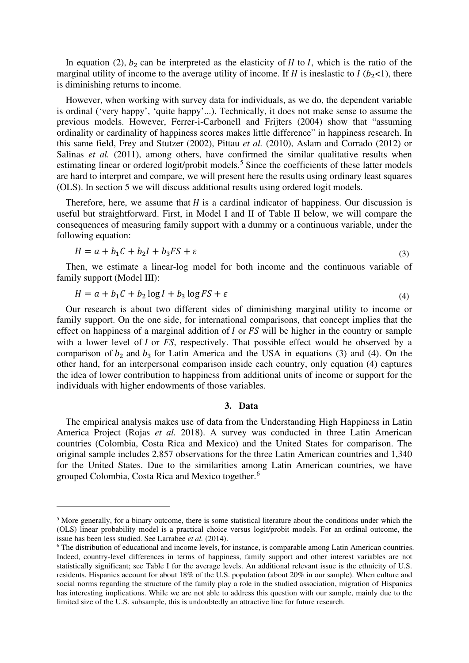In equation [\(2\),](#page-2-1)  $b_2$  can be interpreted as the elasticity of H to I, which is the ratio of the marginal utility of income to the average utility of income. If  $H$  is ineslastic to  $I(b_2<1)$ , there is diminishing returns to income.

However, when working with survey data for individuals, as we do, the dependent variable is ordinal ('very happy', 'quite happy'...). Technically, it does not make sense to assume the previous models. However, Ferrer-i-Carbonell and Frijters (2004) show that "assuming ordinality or cardinality of happiness scores makes little difference" in happiness research. In this same field, Frey and Stutzer (2002), Pittau *et al.* (2010), Aslam and Corrado (2012) or Salinas *et al.* (2011), among others, have confirmed the similar qualitative results when estimating linear or ordered logit/probit models.<sup>[5](#page-3-2)</sup> Since the coefficients of these latter models are hard to interpret and compare, we will present here the results using ordinary least squares (OLS). In section [5](#page-7-0) we will discuss additional results using ordered logit models.

Therefore, here, we assume that  $H$  is a cardinal indicator of happiness. Our discussion is useful but straightforward. First, in Model I and II of Table II below, we will compare the consequences of measuring family support with a dummy or a continuous variable, under the following equation:

$$
H = a + b_1 C + b_2 I + b_3 FS + \varepsilon
$$
\n<sup>(3)</sup>

Then, we estimate a linear-log model for both income and the continuous variable of family support (Model III):

$$
H = a + b_1 C + b_2 \log I + b_3 \log FS + \varepsilon \tag{4}
$$

Our research is about two different sides of diminishing marginal utility to income or family support. On the one side, for international comparisons, that concept implies that the effect on happiness of a marginal addition of  $I$  or  $FS$  will be higher in the country or sample with a lower level of *I* or *FS*, respectively. That possible effect would be observed by a comparison of  $b_2$  and  $b_3$  for Latin America and the USA in equations [\(3\)](#page-3-0) and [\(4\).](#page-3-1) On the other hand, for an interpersonal comparison inside each country, only equation [\(4\)](#page-3-1) captures the idea of lower contribution to happiness from additional units of income or support for the individuals with higher endowments of those variables.

#### <span id="page-3-1"></span><span id="page-3-0"></span>**3. Data**

The empirical analysis makes use of data from the Understanding High Happiness in Latin America Project (Rojas *et al.* 2018). A survey was conducted in three Latin American countries (Colombia, Costa Rica and Mexico) and the United States for comparison. The original sample includes 2,857 observations for the three Latin American countries and 1,340 for the United States. Due to the similarities among Latin American countries, we have grouped Colombia, Costa Rica and Mexico together.<sup>[6](#page-3-3)</sup>

<span id="page-3-2"></span><sup>5</sup> More generally, for a binary outcome, there is some statistical literature about the conditions under which the (OLS) linear probability model is a practical choice versus logit/probit models. For an ordinal outcome, the issue has been less studied. See Larrabee *et al.* (2014).

<span id="page-3-3"></span><sup>6</sup> The distribution of educational and income levels, for instance, is comparable among Latin American countries. Indeed, country-level differences in terms of happiness, family support and other interest variables are not statistically significant; see Table I for the average levels. An additional relevant issue is the ethnicity of U.S. residents. Hispanics account for about 18% of the U.S. population (about 20% in our sample). When culture and social norms regarding the structure of the family play a role in the studied association, migration of Hispanics has interesting implications. While we are not able to address this question with our sample, mainly due to the limited size of the U.S. subsample, this is undoubtedly an attractive line for future research.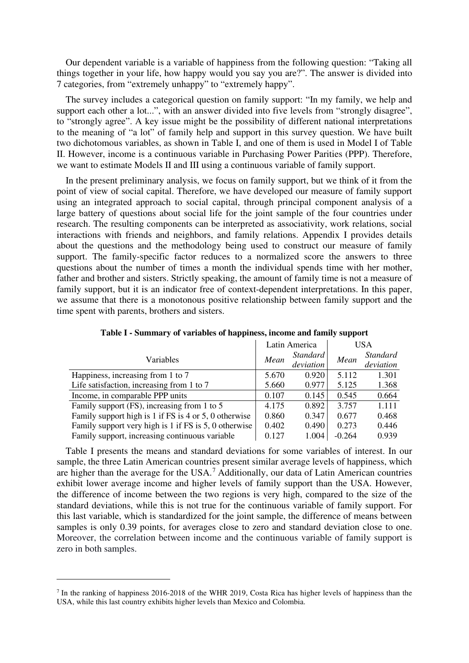Our dependent variable is a variable of happiness from the following question: "Taking all things together in your life, how happy would you say you are?". The answer is divided into 7 categories, from "extremely unhappy" to "extremely happy".

The survey includes a categorical question on family support: "In my family, we help and support each other a lot...", with an answer divided into five levels from "strongly disagree", to "strongly agree". A key issue might be the possibility of different national interpretations to the meaning of "a lot" of family help and support in this survey question. We have built two dichotomous variables, as shown in Table I, and one of them is used in Model I of Table II. However, income is a continuous variable in Purchasing Power Parities (PPP). Therefore, we want to estimate Models II and III using a continuous variable of family support.

In the present preliminary analysis, we focus on family support, but we think of it from the point of view of social capital. Therefore, we have developed our measure of family support using an integrated approach to social capital, through principal component analysis of a large battery of questions about social life for the joint sample of the four countries under research. The resulting components can be interpreted as associativity, work relations, social interactions with friends and neighbors, and family relations. Appendix I provides details about the questions and the methodology being used to construct our measure of family support. The family-specific factor reduces to a normalized score the answers to three questions about the number of times a month the individual spends time with her mother, father and brother and sisters. Strictly speaking, the amount of family time is not a measure of family support, but it is an indicator free of context-dependent interpretations. In this paper, we assume that there is a monotonous positive relationship between family support and the time spent with parents, brothers and sisters.

|                                                       |       | Latin America |          | <b>USA</b>      |  |
|-------------------------------------------------------|-------|---------------|----------|-----------------|--|
| Variables                                             | Mean  | Standard      | Mean     | <i>Standard</i> |  |
|                                                       |       | deviation     |          | deviation       |  |
| Happiness, increasing from 1 to 7                     | 5.670 | 0.920         | 5.112    | 1.301           |  |
| Life satisfaction, increasing from 1 to 7             | 5.660 | 0.977         | 5.125    | 1.368           |  |
| Income, in comparable PPP units                       | 0.107 | 0.145         | 0.545    | 0.664           |  |
| Family support (FS), increasing from 1 to 5           | 4.175 | 0.892         | 3.757    | 1.111           |  |
| Family support high is 1 if FS is 4 or 5, 0 otherwise | 0.860 | 0.347         | 0.677    | 0.468           |  |
| Family support very high is 1 if FS is 5, 0 otherwise | 0.402 | 0.490         | 0.273    | 0.446           |  |
| Family support, increasing continuous variable        | 0.127 | 1.004         | $-0.264$ | 0.939           |  |

**Table I - Summary of variables of happiness, income and family support**

Table I presents the means and standard deviations for some variables of interest. In our sample, the three Latin American countries present similar average levels of happiness, which are higher than the average for the USA.<sup>[7](#page-4-0)</sup> Additionally, our data of Latin American countries exhibit lower average income and higher levels of family support than the USA. However, the difference of income between the two regions is very high, compared to the size of the standard deviations, while this is not true for the continuous variable of family support. For this last variable, which is standardized for the joint sample, the difference of means between samples is only 0.39 points, for averages close to zero and standard deviation close to one. Moreover, the correlation between income and the continuous variable of family support is zero in both samples.

<span id="page-4-0"></span><sup>7</sup> In the ranking of happiness 2016-2018 of the WHR 2019, Costa Rica has higher levels of happiness than the USA, while this last country exhibits higher levels than Mexico and Colombia.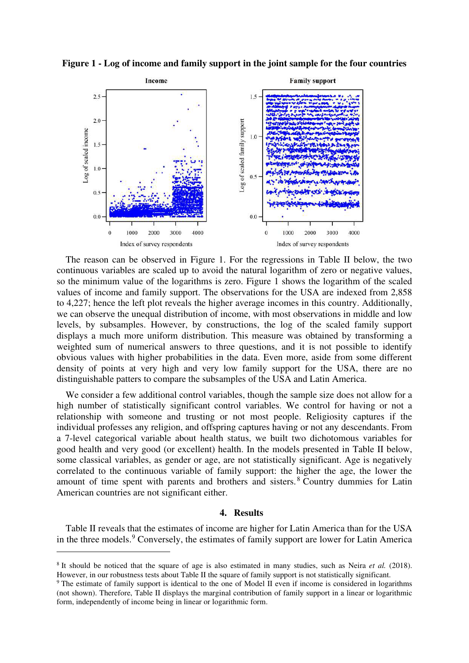**Figure 1 - Log of income and family support in the joint sample for the four countries**



The reason can be observed in Figure 1. For the regressions in Table II below, the two continuous variables are scaled up to avoid the natural logarithm of zero or negative values, so the minimum value of the logarithms is zero. Figure 1 shows the logarithm of the scaled values of income and family support. The observations for the USA are indexed from 2,858 to 4,227; hence the left plot reveals the higher average incomes in this country. Additionally, we can observe the unequal distribution of income, with most observations in middle and low levels, by subsamples. However, by constructions, the log of the scaled family support displays a much more uniform distribution. This measure was obtained by transforming a weighted sum of numerical answers to three questions, and it is not possible to identify obvious values with higher probabilities in the data. Even more, aside from some different density of points at very high and very low family support for the USA, there are no distinguishable patters to compare the subsamples of the USA and Latin America.

We consider a few additional control variables, though the sample size does not allow for a high number of statistically significant control variables. We control for having or not a relationship with someone and trusting or not most people. Religiosity captures if the individual professes any religion, and offspring captures having or not any descendants. From a 7-level categorical variable about health status, we built two dichotomous variables for good health and very good (or excellent) health. In the models presented in Table II below, some classical variables, as gender or age, are not statistically significant. Age is negatively correlated to the continuous variable of family support: the higher the age, the lower the amount of time spent with parents and brothers and sisters. [8](#page-5-0) Country dummies for Latin American countries are not significant either.

#### **4. Results**

Table II reveals that the estimates of income are higher for Latin America than for the USA in the three models.<sup>[9](#page-5-1)</sup> Conversely, the estimates of family support are lower for Latin America

<span id="page-5-0"></span><sup>8</sup> It should be noticed that the square of age is also estimated in many studies, such as Neira *et al.* (2018). However, in our robustness tests about Table II the square of family support is not statistically significant.

<span id="page-5-1"></span><sup>&</sup>lt;sup>9</sup> The estimate of family support is identical to the one of Model II even if income is considered in logarithms (not shown). Therefore, Table II displays the marginal contribution of family support in a linear or logarithmic form, independently of income being in linear or logarithmic form.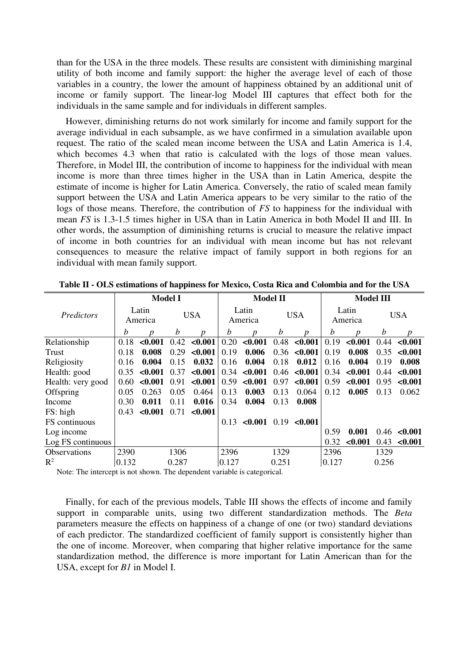than for the USA in the three models. These results are consistent with diminishing marginal utility of both income and family support: the higher the average level of each of those variables in a country, the lower the amount of happiness obtained by an additional unit of income or family support. The linear-log Model III captures that effect both for the individuals in the same sample and for individuals in different samples.

However, diminishing returns do not work similarly for income and family support for the average individual in each subsample, as we have confirmed in a simulation available upon request. The ratio of the scaled mean income between the USA and Latin America is 1.4, which becomes 4.3 when that ratio is calculated with the logs of those mean values. Therefore, in Model III, the contribution of income to happiness for the individual with mean income is more than three times higher in the USA than in Latin America, despite the estimate of income is higher for Latin America. Conversely, the ratio of scaled mean family support between the USA and Latin America appears to be very similar to the ratio of the logs of those means. Therefore, the contribution of *FS* to happiness for the individual with mean *FS* is 1.3-1.5 times higher in USA than in Latin America in both Model II and III. In other words, the assumption of diminishing returns is crucial to measure the relative impact of income in both countries for an individual with mean income but has not relevant consequences to measure the relative impact of family support in both regions for an individual with mean family support.

|                   |                  | <b>Model I</b> |            |         |                  |              | <b>Model II</b>  |                        | <b>Model III</b> |         |            |                  |  |
|-------------------|------------------|----------------|------------|---------|------------------|--------------|------------------|------------------------|------------------|---------|------------|------------------|--|
| Predictors        | Latin<br>America |                | <b>USA</b> |         | Latin<br>America |              | <b>USA</b>       |                        | Latin<br>America |         | <b>USA</b> |                  |  |
|                   | b                | Ŋ              | b          | n       | $\boldsymbol{b}$ | n            | $\boldsymbol{b}$ | n                      | b                |         | b          | n                |  |
| Relationship      | 0.18             | < 0.001        | 0.42       | < 0.001 | 0.20             | < 0.001      | 0.48             | < 0.001                | 0.19             | < 0.001 |            | 0.44 < 0.001     |  |
| Trust             | 0.18             | 0.008          | 0.29       | < 0.001 | 0.19             | 0.006        |                  | $0.36$ < $0.001$       | 0.19             | 0.008   | 0.35       | < 0.001          |  |
| Religiosity       | 0.16             | 0.004          | 0.15       | 0.032   | 0.16             | 0.004        | 0.18             | 0.012                  | 0.16             | 0.004   | 0.19       | 0.008            |  |
| Health: good      | 0.35             | $0.001$        | 0.37       | < 0.001 |                  | 0.34 < 0.001 | 0.46             | < 0.001                | 0.34             | < 0.001 | 0.44       | < 0.001          |  |
| Health: very good | 0.60             | < 0.001        | 0.91       | < 0.001 | 0.59             | < 0.001      | 0.97             | < 0.001                | 0.59             | < 0.001 | 0.95       | < 0.001          |  |
| Offspring         | 0.05             | 0.263          | 0.05       | 0.464   | 0.13             | 0.003        | 0.13             | 0.064                  | 0.12             | 0.005   | 0.13       | 0.062            |  |
| Income            | 0.30             | 0.011          | 0.11       | 0.016   | 0.34             | 0.004        | 0.13             | 0.008                  |                  |         |            |                  |  |
| FS: high          | 0.43             | < 0.001        | 0.71       | < 0.001 |                  |              |                  |                        |                  |         |            |                  |  |
| FS continuous     |                  |                |            |         | 0.13             |              |                  | $<0.001$ 0.19 $<0.001$ |                  |         |            |                  |  |
| Log income        |                  |                |            |         |                  |              |                  |                        | 0.59             | 0.001   |            | $0.46$ < 0.001   |  |
| Log FS continuous |                  |                |            |         |                  |              |                  |                        | 0.32             | < 0.001 |            | $0.43$ < $0.001$ |  |
| Observations      | 2390             |                | 1306       |         | 2396             |              | 1329             |                        | 2396             |         | 1329       |                  |  |
| $\mathbb{R}^2$    | 0.132            |                | 0.287      |         | 0.127            |              | 0.251            |                        | 0.127            |         | 0.256      |                  |  |

**Table II - OLS estimations of happiness for Mexico, Costa Rica and Colombia and for the USA**

Note: The intercept is not shown. The dependent variable is categorical.

 Finally, for each of the previous models, Table III shows the effects of income and family support in comparable units, using two different standardization methods. The *Beta* parameters measure the effects on happiness of a change of one (or two) standard deviations of each predictor. The standardized coefficient of family support is consistently higher than the one of income. Moreover, when comparing that higher relative importance for the same standardization method, the difference is more important for Latin American than for the USA, except for *B1* in Model I.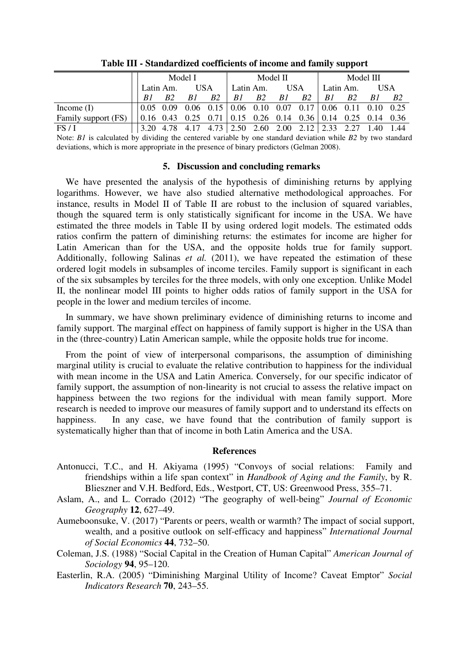|                     | Model I   |    |            |      | Model II      |                |  |    | Model III |    |            |            |
|---------------------|-----------|----|------------|------|---------------|----------------|--|----|-----------|----|------------|------------|
|                     | Latin Am. |    | <b>USA</b> |      | Latin Am. USA |                |  |    | Latin Am. |    | <b>USA</b> |            |
|                     | B1        | B2 | B1         | $B2$ |               | $BI$ $B2$ $BI$ |  | B2 | - B1      | B2 | BI         | <i>B</i> 2 |
| Income $(I)$        |           |    |            |      |               |                |  |    |           |    |            |            |
| Family support (FS) |           |    |            |      |               |                |  |    |           |    |            |            |
| FS/I                |           |    |            |      |               |                |  |    |           |    |            |            |

**Table III - Standardized coefficients of income and family support**

Note: *B1* is calculated by dividing the centered variable by one standard deviation while *B2* by two standard deviations, which is more appropriate in the presence of binary predictors (Gelman 2008).

#### **5. Discussion and concluding remarks**

<span id="page-7-0"></span> We have presented the analysis of the hypothesis of diminishing returns by applying logarithms. However, we have also studied alternative methodological approaches. For instance, results in Model II of Table II are robust to the inclusion of squared variables, though the squared term is only statistically significant for income in the USA. We have estimated the three models in Table II by using ordered logit models. The estimated odds ratios confirm the pattern of diminishing returns: the estimates for income are higher for Latin American than for the USA, and the opposite holds true for family support. Additionally, following Salinas *et al.* (2011), we have repeated the estimation of these ordered logit models in subsamples of income terciles. Family support is significant in each of the six subsamples by terciles for the three models, with only one exception. Unlike Model II, the nonlinear model III points to higher odds ratios of family support in the USA for people in the lower and medium terciles of income.

In summary, we have shown preliminary evidence of diminishing returns to income and family support. The marginal effect on happiness of family support is higher in the USA than in the (three-country) Latin American sample, while the opposite holds true for income.

From the point of view of interpersonal comparisons, the assumption of diminishing marginal utility is crucial to evaluate the relative contribution to happiness for the individual with mean income in the USA and Latin America. Conversely, for our specific indicator of family support, the assumption of non-linearity is not crucial to assess the relative impact on happiness between the two regions for the individual with mean family support. More research is needed to improve our measures of family support and to understand its effects on happiness. In any case, we have found that the contribution of family support is systematically higher than that of income in both Latin America and the USA.

#### **References**

- Antonucci, T.C., and H. Akiyama (1995) "Convoys of social relations: Family and friendships within a life span context" in *Handbook of Aging and the Family*, by R. Blieszner and V.H. Bedford, Eds., Westport, CT, US: Greenwood Press, 355–71.
- Aslam, A., and L. Corrado (2012) "The geography of well-being" *Journal of Economic Geography* **12**, 627–49.
- Aumeboonsuke, V. (2017) "Parents or peers, wealth or warmth? The impact of social support, wealth, and a positive outlook on self-efficacy and happiness" *International Journal of Social Economics* **44**, 732–50.
- Coleman, J.S. (1988) "Social Capital in the Creation of Human Capital" *American Journal of Sociology* **94**, 95–120.
- Easterlin, R.A. (2005) "Diminishing Marginal Utility of Income? Caveat Emptor" *Social Indicators Research* **70**, 243–55.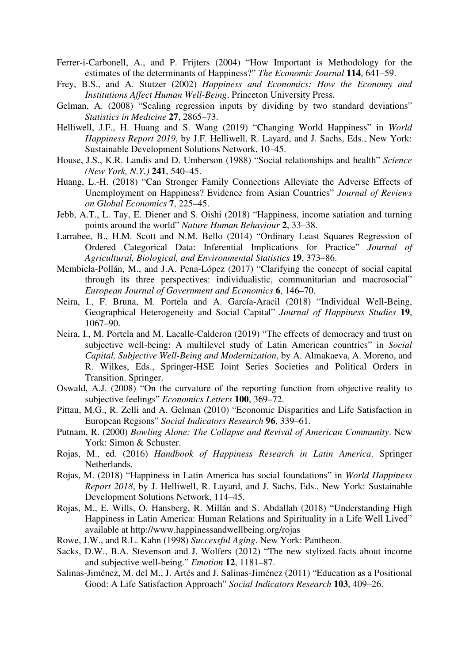- Ferrer-i-Carbonell, A., and P. Frijters (2004) "How Important is Methodology for the estimates of the determinants of Happiness?" *The Economic Journal* **114**, 641–59.
- Frey, B.S., and A. Stutzer (2002) *Happiness and Economics: How the Economy and Institutions Affect Human Well-Being*. Princeton University Press.
- Gelman, A. (2008) "Scaling regression inputs by dividing by two standard deviations" *Statistics in Medicine* **27**, 2865–73.
- Helliwell, J.F., H. Huang and S. Wang (2019) "Changing World Happiness" in *World Happiness Report 2019*, by J.F. Helliwell, R. Layard, and J. Sachs, Eds., New York: Sustainable Development Solutions Network, 10–45.
- House, J.S., K.R. Landis and D. Umberson (1988) "Social relationships and health" *Science (New York, N.Y.)* **241**, 540–45.
- Huang, L.-H. (2018) "Can Stronger Family Connections Alleviate the Adverse Effects of Unemployment on Happiness? Evidence from Asian Countries" *Journal of Reviews on Global Economics* **7**, 225–45.
- Jebb, A.T., L. Tay, E. Diener and S. Oishi (2018) "Happiness, income satiation and turning points around the world" *Nature Human Behaviour* **2**, 33–38.
- Larrabee, B., H.M. Scott and N.M. Bello (2014) "Ordinary Least Squares Regression of Ordered Categorical Data: Inferential Implications for Practice" *Journal of Agricultural, Biological, and Environmental Statistics* **19**, 373–86.
- Membiela-Pollán, M., and J.A. Pena-López (2017) "Clarifying the concept of social capital through its three perspectives: individualistic, communitarian and macrosocial" *European Journal of Government and Economics* **6**, 146–70.
- Neira, I., F. Bruna, M. Portela and A. García-Aracil (2018) "Individual Well-Being, Geographical Heterogeneity and Social Capital" *Journal of Happiness Studies* **19**, 1067–90.
- Neira, I., M. Portela and M. Lacalle-Calderon (2019) "The effects of democracy and trust on subjective well-being: A multilevel study of Latin American countries" in *Social Capital, Subjective Well-Being and Modernization*, by A. Almakaeva, A. Moreno, and R. Wilkes, Eds., Springer-HSE Joint Series Societies and Political Orders in Transition. Springer.
- Oswald, A.J. (2008) "On the curvature of the reporting function from objective reality to subjective feelings" *Economics Letters* **100**, 369–72.
- Pittau, M.G., R. Zelli and A. Gelman (2010) "Economic Disparities and Life Satisfaction in European Regions" *Social Indicators Research* **96**, 339–61.
- Putnam, R. (2000) *Bowling Alone: The Collapse and Revival of American Community*. New York: Simon & Schuster.
- Rojas, M., ed. (2016) *Handbook of Happiness Research in Latin America*. Springer Netherlands.
- Rojas, M. (2018) "Happiness in Latin America has social foundations" in *World Happiness Report 2018*, by J. Helliwell, R. Layard, and J. Sachs, Eds., New York: Sustainable Development Solutions Network, 114–45.
- Rojas, M., E. Wills, O. Hansberg, R. Millán and S. Abdallah (2018) "Understanding High Happiness in Latin America: Human Relations and Spirituality in a Life Well Lived" available at http://www.happinessandwellbeing.org/rojas
- Rowe, J.W., and R.L. Kahn (1998) *Successful Aging*. New York: Pantheon.
- Sacks, D.W., B.A. Stevenson and J. Wolfers (2012) "The new stylized facts about income and subjective well-being." *Emotion* **12**, 1181–87.
- Salinas-Jiménez, M. del M., J. Artés and J. Salinas-Jiménez (2011) "Education as a Positional Good: A Life Satisfaction Approach" *Social Indicators Research* **103**, 409–26.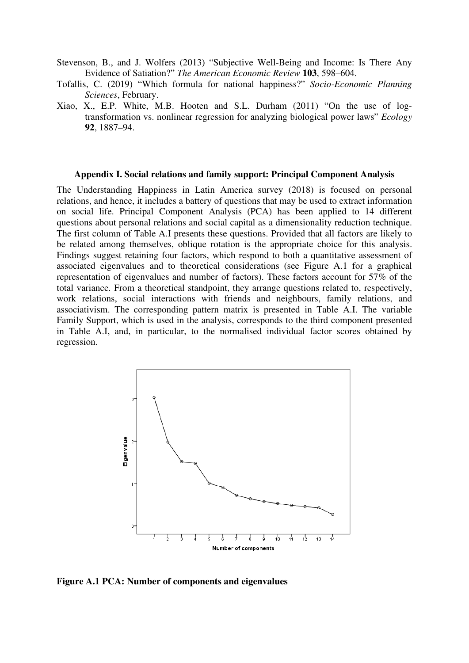- Stevenson, B., and J. Wolfers (2013) "Subjective Well-Being and Income: Is There Any Evidence of Satiation?" *The American Economic Review* **103**, 598–604.
- Tofallis, C. (2019) "Which formula for national happiness?" *Socio-Economic Planning Sciences*, February.
- Xiao, X., E.P. White, M.B. Hooten and S.L. Durham (2011) "On the use of logtransformation vs. nonlinear regression for analyzing biological power laws" *Ecology* **92**, 1887–94.

#### **Appendix I. Social relations and family support: Principal Component Analysis**

The Understanding Happiness in Latin America survey (2018) is focused on personal relations, and hence, it includes a battery of questions that may be used to extract information on social life. Principal Component Analysis (PCA) has been applied to 14 different questions about personal relations and social capital as a dimensionality reduction technique. The first column of Table A.I presents these questions. Provided that all factors are likely to be related among themselves, oblique rotation is the appropriate choice for this analysis. Findings suggest retaining four factors, which respond to both a quantitative assessment of associated eigenvalues and to theoretical considerations (see Figure A.1 for a graphical representation of eigenvalues and number of factors). These factors account for 57% of the total variance. From a theoretical standpoint, they arrange questions related to, respectively, work relations, social interactions with friends and neighbours, family relations, and associativism. The corresponding pattern matrix is presented in Table A.I. The variable Family Support, which is used in the analysis, corresponds to the third component presented in Table A.I, and, in particular, to the normalised individual factor scores obtained by regression.



**Figure A.1 PCA: Number of components and eigenvalues**